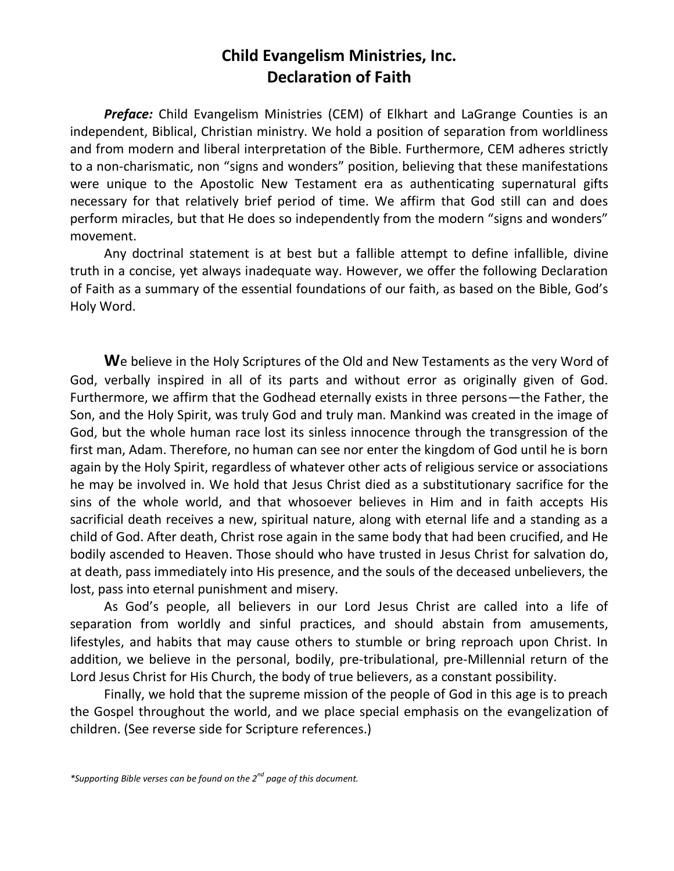## **Child Evangelism Ministries, Inc. Declaration of Faith**

*Preface:* Child Evangelism Ministries (CEM) of Elkhart and LaGrange Counties is an independent, Biblical, Christian ministry. We hold a position of separation from worldliness and from modern and liberal interpretation of the Bible. Furthermore, CEM adheres strictly to a non-charismatic, non "signs and wonders" position, believing that these manifestations were unique to the Apostolic New Testament era as authenticating supernatural gifts necessary for that relatively brief period of time. We affirm that God still can and does perform miracles, but that He does so independently from the modern "signs and wonders" movement.

Any doctrinal statement is at best but a fallible attempt to define infallible, divine truth in a concise, yet always inadequate way. However, we offer the following Declaration of Faith as a summary of the essential foundations of our faith, as based on the Bible, God's Holy Word.

**W**e believe in the Holy Scriptures of the Old and New Testaments as the very Word of God, verbally inspired in all of its parts and without error as originally given of God. Furthermore, we affirm that the Godhead eternally exists in three persons—the Father, the Son, and the Holy Spirit, was truly God and truly man. Mankind was created in the image of God, but the whole human race lost its sinless innocence through the transgression of the first man, Adam. Therefore, no human can see nor enter the kingdom of God until he is born again by the Holy Spirit, regardless of whatever other acts of religious service or associations he may be involved in. We hold that Jesus Christ died as a substitutionary sacrifice for the sins of the whole world, and that whosoever believes in Him and in faith accepts His sacrificial death receives a new, spiritual nature, along with eternal life and a standing as a child of God. After death, Christ rose again in the same body that had been crucified, and He bodily ascended to Heaven. Those should who have trusted in Jesus Christ for salvation do, at death, pass immediately into His presence, and the souls of the deceased unbelievers, the lost, pass into eternal punishment and misery.

As God's people, all believers in our Lord Jesus Christ are called into a life of separation from worldly and sinful practices, and should abstain from amusements, lifestyles, and habits that may cause others to stumble or bring reproach upon Christ. In addition, we believe in the personal, bodily, pre-tribulational, pre-Millennial return of the Lord Jesus Christ for His Church, the body of true believers, as a constant possibility.

Finally, we hold that the supreme mission of the people of God in this age is to preach the Gospel throughout the world, and we place special emphasis on the evangelization of children. (See reverse side for Scripture references.)